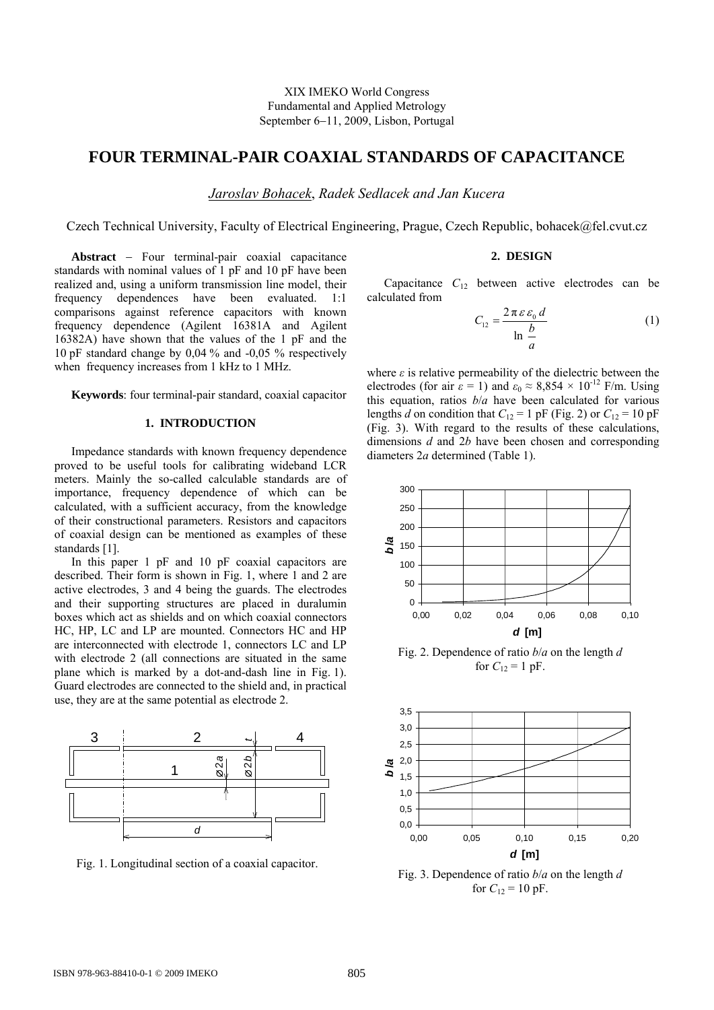# **FOUR TERMINAL-PAIR COAXIAL STANDARDS OF CAPACITANCE**

*Jaroslav Bohacek*, *Radek Sedlacek and Jan Kucera* 

Czech Technical University, Faculty of Electrical Engineering, Prague, Czech Republic, bohacek@fel.cvut.cz

**2. DESIGN** 

Capacitance  $C_{12}$  between active electrodes can be calculated from

$$
C_{12} = \frac{2\pi\varepsilon\varepsilon_0 d}{\ln\frac{b}{a}}\tag{1}
$$

where  $\varepsilon$  is relative permeability of the dielectric between the electrodes (for air  $\varepsilon = 1$ ) and  $\varepsilon_0 \approx 8,854 \times 10^{-12}$  F/m. Using this equation, ratios *b*/*a* have been calculated for various lengths *d* on condition that  $C_{12} = 1$  pF (Fig. 2) or  $C_{12} = 10$  pF (Fig. 3). With regard to the results of these calculations, dimensions *d* and 2*b* have been chosen and corresponding diameters 2*a* determined (Table 1).



Fig. 2. Dependence of ratio *b*/*a* on the length *d*  for  $C_1$ <sub>2</sub> = 1 pF.



Fig. 3. Dependence of ratio *b*/*a* on the length *d*  for  $C_{12} = 10$  pF.

**Keywords**: four terminal-pair standard, coaxial capacitor

Abstract - Four terminal-pair coaxial capacitance standards with nominal values of 1 pF and 10 pF have been realized and, using a uniform transmission line model, their frequency dependences have been evaluated. 1:1 comparisons against reference capacitors with known frequency dependence (Agilent 16381A and Agilent 16382A) have shown that the values of the 1 pF and the 10 pF standard change by 0,04 % and -0,05 % respectively

# **1. INTRODUCTION**

when frequency increases from 1 kHz to 1 MHz.

Impedance standards with known frequency dependence proved to be useful tools for calibrating wideband LCR meters. Mainly the so-called calculable standards are of importance, frequency dependence of which can be calculated, with a sufficient accuracy, from the knowledge of their constructional parameters. Resistors and capacitors of coaxial design can be mentioned as examples of these standards [1].

In this paper 1 pF and 10 pF coaxial capacitors are described. Their form is shown in Fig. 1, where 1 and 2 are active electrodes, 3 and 4 being the guards. The electrodes and their supporting structures are placed in duralumin boxes which act as shields and on which coaxial connectors HC, HP, LC and LP are mounted. Connectors HC and HP are interconnected with electrode 1, connectors LC and LP with electrode 2 (all connections are situated in the same plane which is marked by a dot-and-dash line in Fig. 1). Guard electrodes are connected to the shield and, in practical use, they are at the same potential as electrode 2.



Fig. 1. Longitudinal section of a coaxial capacitor.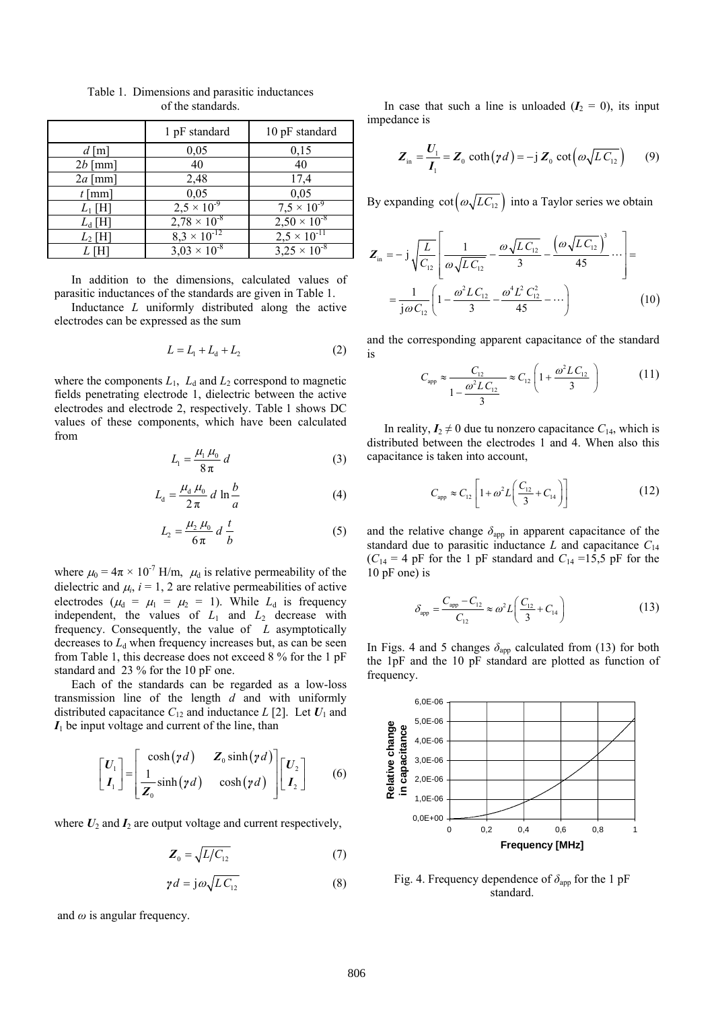|                    | 1 pF standard         | 10 pF standard        |
|--------------------|-----------------------|-----------------------|
| $d \,[\mathrm{m}]$ | 0,05                  | 0,15                  |
| $2b$ [mm]          | 40                    | 40                    |
| $2a$ [mm]          | 2,48                  | 17,4                  |
| $t$ [mm]           | 0,05                  | 0,05                  |
| $L_1$ [H]          | $2.5 \times 10^{-9}$  | $7.5 \times 10^{-9}$  |
| $L_d$ [H]          | $2,78 \times 10^{-8}$ | $2,50 \times 10^{-8}$ |
| $L_2$ [H]          | $8,3 \times 10^{-12}$ | $2,5 \times 10^{-11}$ |
| L [H               | $3.03 \times 10^{-8}$ | $3,25 \times 10^{-8}$ |

Table 1. Dimensions and parasitic inductances of the standards.

 In addition to the dimensions, calculated values of parasitic inductances of the standards are given in Table 1.

 Inductance *L* uniformly distributed along the active electrodes can be expressed as the sum

$$
L = L_1 + L_4 + L_2 \tag{2}
$$

where the components  $L_1$ ,  $L_d$  and  $L_2$  correspond to magnetic fields penetrating electrode 1, dielectric between the active electrodes and electrode 2, respectively. Table 1 shows DC values of these components, which have been calculated from

$$
L_1 = \frac{\mu_1 \mu_0}{8\pi} d \tag{3}
$$

$$
L_{\rm d} = \frac{\mu_{\rm d} \mu_0}{2 \pi} d \ln \frac{b}{a} \tag{4}
$$

$$
L_2 = \frac{\mu_2 \mu_0}{6\pi} d \frac{t}{b}
$$
 (5)

where  $\mu_0 = 4\pi \times 10^{-7}$  H/m,  $\mu_d$  is relative permeability of the dielectric and  $\mu_i$ ,  $i = 1, 2$  are relative permeabilities of active electrodes ( $\mu_d = \mu_1 = \mu_2 = 1$ ). While  $L_d$  is frequency independent, the values of  $L_1$  and  $L_2$  decrease with frequency. Consequently, the value of *L* asymptotically decreases to  $L<sub>d</sub>$  when frequency increases but, as can be seen from Table 1, this decrease does not exceed 8 % for the 1 pF standard and 23 % for the 10 pF one.

 Each of the standards can be regarded as a low-loss transmission line of the length *d* and with uniformly distributed capacitance  $C_{12}$  and inductance  $L$  [2]. Let  $U_1$  and  $I_1$  be input voltage and current of the line, than

$$
\begin{bmatrix} U_1 \\ I_1 \end{bmatrix} = \begin{bmatrix} \cosh(\gamma d) & Z_0 \sinh(\gamma d) \\ \frac{1}{Z_0} \sinh(\gamma d) & \cosh(\gamma d) \end{bmatrix} \begin{bmatrix} U_2 \\ I_2 \end{bmatrix} \tag{6}
$$

where  $U_2$  and  $I_2$  are output voltage and current respectively,

$$
\boldsymbol{Z}_0 = \sqrt{L/C_{12}}\tag{7}
$$

$$
\gamma d = j\omega \sqrt{LC_{12}} \tag{8}
$$

and *ω* is angular frequency.

In case that such a line is unloaded  $(I_2 = 0)$ , its input impedance is

$$
\boldsymbol{Z}_{\text{in}} = \frac{\boldsymbol{U}_1}{\boldsymbol{I}_1} = \boldsymbol{Z}_0 \coth(\gamma d) = -j \, \boldsymbol{Z}_0 \cot\left(\omega \sqrt{L \, C_{12}}\right) \qquad (9)
$$

By expanding  $\cot\left(\omega\sqrt{LC_{12}}\right)$  into a Taylor series we obtain

$$
\mathbf{Z}_{\text{in}} = -j \sqrt{\frac{L}{C_{12}}} \left[ \frac{1}{\omega \sqrt{LC_{12}}} - \frac{\omega \sqrt{LC_{12}}}{3} - \frac{\left(\omega \sqrt{LC_{12}}\right)^3}{45} \cdots \right] =
$$

$$
= \frac{1}{j \omega C_{12}} \left( 1 - \frac{\omega^2 LC_{12}}{3} - \frac{\omega^4 L^2 C_{12}^2}{45} - \cdots \right) \tag{10}
$$

and the corresponding apparent capacitance of the standard is  $C \left( \begin{array}{cc} 2 & 2 \end{array} \right)$ 

$$
C_{\rm app} \approx \frac{C_{12}}{1 - \frac{\omega^2 LC_{12}}{3}} \approx C_{12} \left( 1 + \frac{\omega^2 LC_{12}}{3} \right) \tag{11}
$$

In reality,  $I_2 \neq 0$  due tu nonzero capacitance  $C_{14}$ , which is distributed between the electrodes 1 and 4. When also this capacitance is taken into account,

$$
C_{\rm app} \approx C_{12} \left[ 1 + \omega^2 L \left( \frac{C_{12}}{3} + C_{14} \right) \right]
$$
 (12)

and the relative change  $\delta_{app}$  in apparent capacitance of the standard due to parasitic inductance  $L$  and capacitance  $C_{14}$  $(C_{14} = 4$  pF for the 1 pF standard and  $C_{14} = 15.5$  pF for the 10 pF one) is

$$
\delta_{\rm app} = \frac{C_{\rm app} - C_{12}}{C_{12}} \approx \omega^2 L \left( \frac{C_{12}}{3} + C_{14} \right) \tag{13}
$$

In Figs. 4 and 5 changes  $\delta_{app}$  calculated from (13) for both the 1pF and the 10 pF standard are plotted as function of frequency.



Fig. 4. Frequency dependence of  $\delta_{app}$  for the 1 pF standard.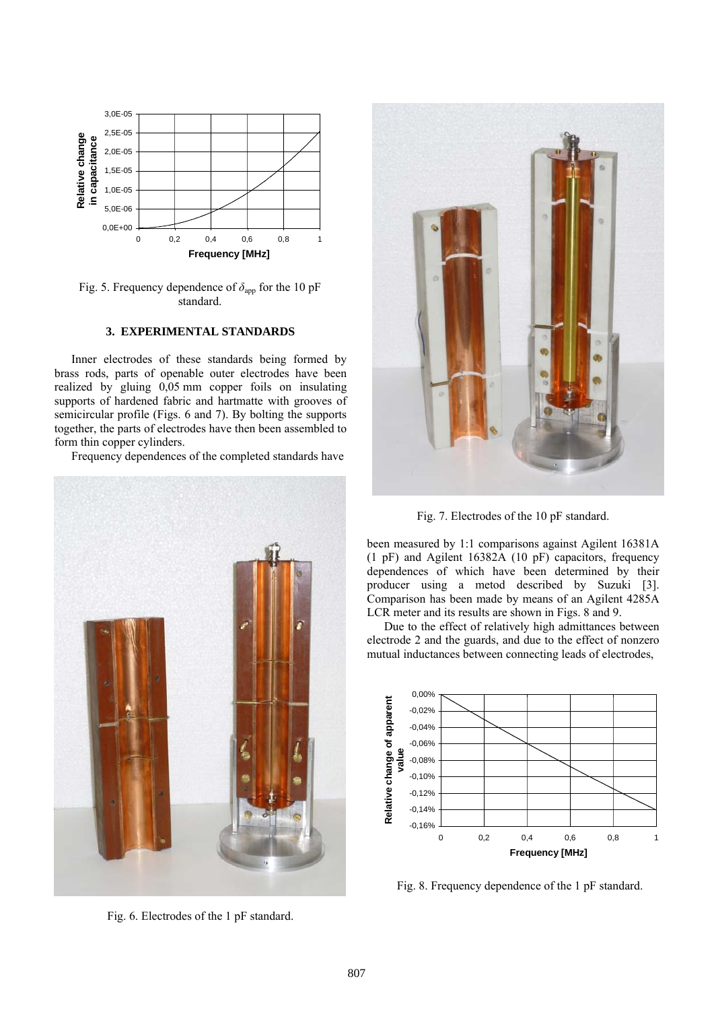

Fig. 5. Frequency dependence of  $\delta_{\text{app}}$  for the 10 pF standard.

## **3. EXPERIMENTAL STANDARDS**

 Inner electrodes of these standards being formed by brass rods, parts of openable outer electrodes have been realized by gluing 0,05 mm copper foils on insulating supports of hardened fabric and hartmatte with grooves of semicircular profile (Figs. 6 and 7). By bolting the supports together, the parts of electrodes have then been assembled to form thin copper cylinders.

Frequency dependences of the completed standards have



Fig. 6. Electrodes of the 1 pF standard.



Fig. 7. Electrodes of the 10 pF standard.

been measured by 1:1 comparisons against Agilent 16381A (1 pF) and Agilent 16382A (10 pF) capacitors, frequency dependences of which have been determined by their producer using a metod described by Suzuki [3]. Comparison has been made by means of an Agilent 4285A LCR meter and its results are shown in Figs. 8 and 9.

 Due to the effect of relatively high admittances between electrode 2 and the guards, and due to the effect of nonzero mutual inductances between connecting leads of electrodes,



Fig. 8. Frequency dependence of the 1 pF standard.